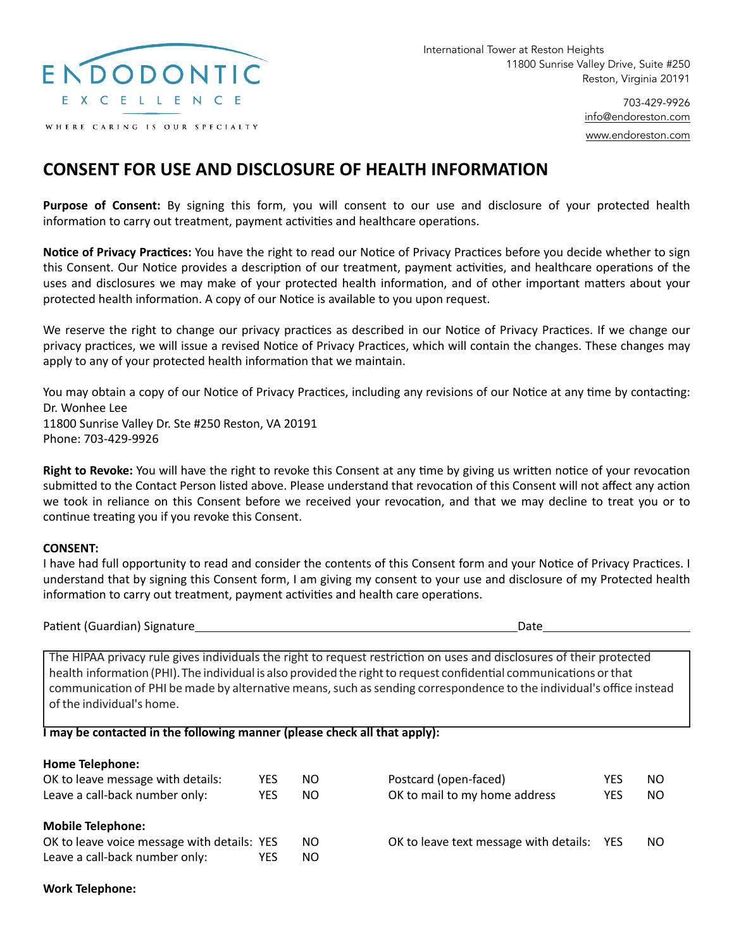

WHERE CARING IS OUR SPECIALTY

703-429-9926 [info@endoreston.com](mailto:info@endoreston.com) [www.endoreston.com](http://www.endoreston.com)

## **CONSENT FOR USE AND DISCLOSURE OF HEALTH INFORMATION**

**Purpose of Consent:** By signing this form, you will consent to our use and disclosure of your protected health information to carry out treatment, payment activities and healthcare operations.

**Notice of Privacy Practices:** You have the right to read our Notice of Privacy Practices before you decide whether to sign this Consent. Our Notice provides a description of our treatment, payment activities, and healthcare operations of the uses and disclosures we may make of your protected health information, and of other important matters about your protected health information. A copy of our Notice is available to you upon request.

We reserve the right to change our privacy practices as described in our Notice of Privacy Practices. If we change our privacy practices, we will issue a revised Notice of Privacy Practices, which will contain the changes. These changes may apply to any of your protected health information that we maintain.

You may obtain a copy of our Notice of Privacy Practices, including any revisions of our Notice at any time by contacting: Dr. Wonhee Lee 11800 Sunrise Valley Dr. Ste #250 Reston, VA 20191 Phone: 703-429-9926

**Right to Revoke:** You will have the right to revoke this Consent at any time by giving us written notice of your revocation submitted to the Contact Person listed above. Please understand that revocation of this Consent will not affect any action we took in reliance on this Consent before we received your revocation, and that we may decline to treat you or to continue treating you if you revoke this Consent.

## **CONSENT:**

I have had full opportunity to read and consider the contents of this Consent form and your Notice of Privacy Practices. I understand that by signing this Consent form, I am giving my consent to your use and disclosure of my Protected health information to carry out treatment, payment activities and health care operations.

Patient (Guardian) Signature Date

The HIPAA privacy rule gives individuals the right to request restriction on uses and disclosures of their protected health information (PHI). The individual is also provided the right to request confidential communications or that communication of PHI be made by alternative means, such as sending correspondence to the individual's office instead of the individual's home.

## **I may be contacted in the following manner (please check all that apply):**

| <b>Home Telephone:</b>                      |     |     |                                        |            |     |
|---------------------------------------------|-----|-----|----------------------------------------|------------|-----|
| OK to leave message with details:           | YES | NO. | Postcard (open-faced)                  | YES        | NO. |
| Leave a call-back number only:              | YES | NO. | OK to mail to my home address          | YES        | NO. |
| <b>Mobile Telephone:</b>                    |     |     |                                        |            |     |
| OK to leave voice message with details: YES |     | NO. | OK to leave text message with details: | <b>YES</b> | NO. |
| Leave a call-back number only:              | YES | NO. |                                        |            |     |

**Work Telephone:**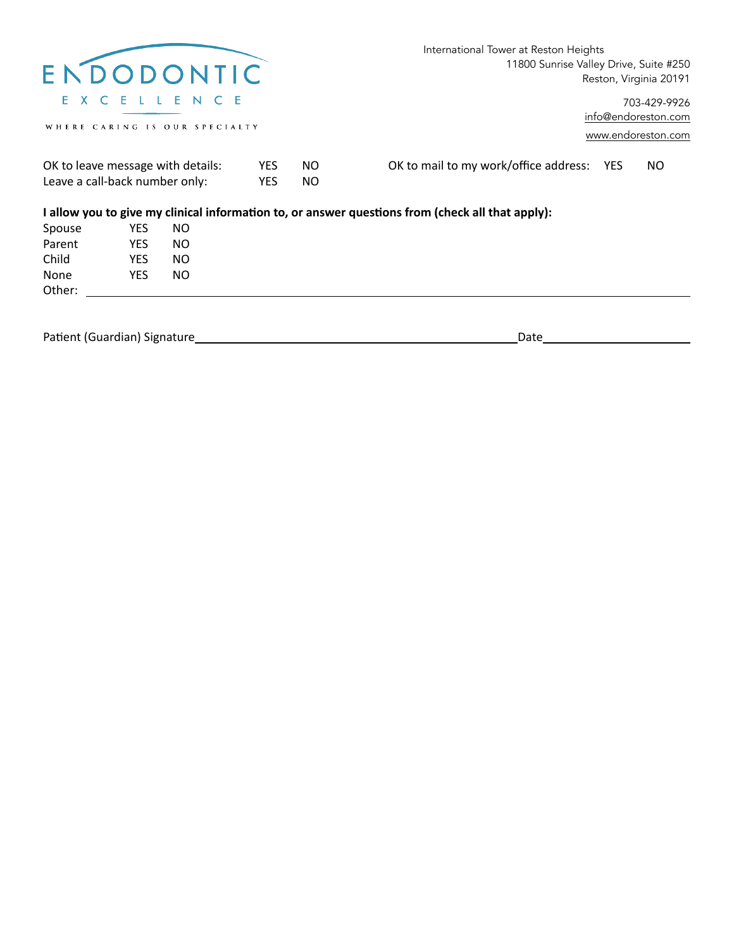|                                                                     |            |                                                           |            |                                                     | International Tower at Reston Heights                                                            |
|---------------------------------------------------------------------|------------|-----------------------------------------------------------|------------|-----------------------------------------------------|--------------------------------------------------------------------------------------------------|
|                                                                     |            | ENDODONTIC                                                |            |                                                     | 11800 Sunrise Valley Drive, Suite #250<br>Reston, Virginia 20191                                 |
|                                                                     |            | <b>X C E L L E N C E</b><br>WHERE CARING IS OUR SPECIALTY |            |                                                     | 703-429-9926<br>info@endoreston.com                                                              |
|                                                                     |            |                                                           |            |                                                     | www.endoreston.com                                                                               |
| OK to leave message with details:<br>Leave a call-back number only: |            | <b>YES</b><br><b>YES</b>                                  | NO.<br>NO. | OK to mail to my work/office address:<br>NO.<br>YES |                                                                                                  |
|                                                                     |            |                                                           |            |                                                     | I allow you to give my clinical information to, or answer questions from (check all that apply): |
| Spouse                                                              | YES        | NO.                                                       |            |                                                     |                                                                                                  |
| Parent                                                              | <b>YES</b> | NO.                                                       |            |                                                     |                                                                                                  |
| Child                                                               | <b>YES</b> | NO.                                                       |            |                                                     |                                                                                                  |
| None                                                                | <b>YES</b> | NO.                                                       |            |                                                     |                                                                                                  |
| Other:                                                              |            |                                                           |            |                                                     |                                                                                                  |
| Patient (Guardian) Signature                                        |            |                                                           |            |                                                     | Date                                                                                             |